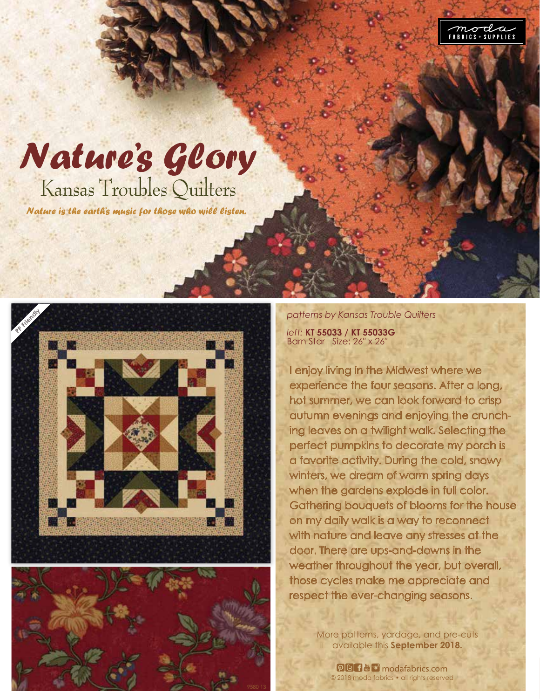

## Nature's Glory Kansas Troubles Quilters

Nature is the earth's music for those who will listen.





*patterns by Kansas Trouble Quilters left:* **KT 55033 / KT 55033G** Barn Star Size: 26″ x 26″

I enjoy living in the Midwest where we experience the four seasons. After a long, hot summer, we can look forward to crisp autumn evenings and enjoying the crunch ing leaves on a twilight walk. Selecting the perfect pumpkins to decorate my porch is a favorite activity. During the cold, snowy winters, we dream of warm spring days when the gardens explode in full color. Gathering bouquets of blooms for the house on my daily walk is a way to reconnect with nature and leave any stresses at the door. There are ups-and-downs in the weather throughout the year, but overall, those cycles make me appreciate and respect the ever-changing seasons.

> More patterns, yardage, and pre-cuts available this **September 2018.**

© 2018 moda fabrics • all rights reserved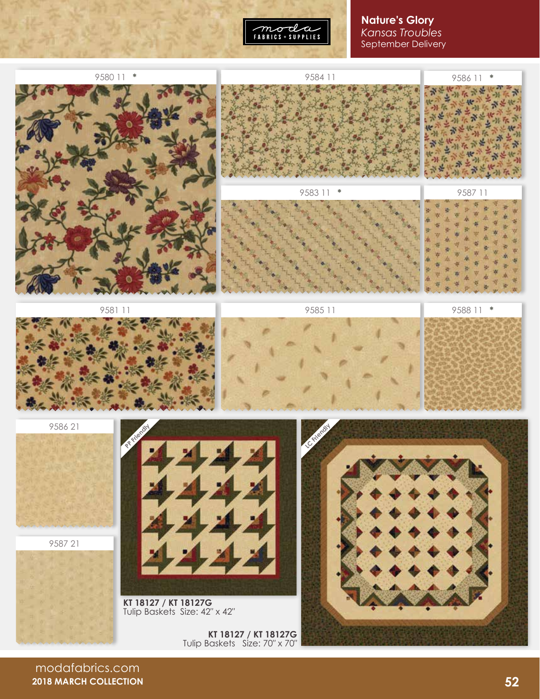

## **Nature's Glory** *Kansas Troubles* September Delivery



modafabrics.com **2018 MARCH COLLECTION**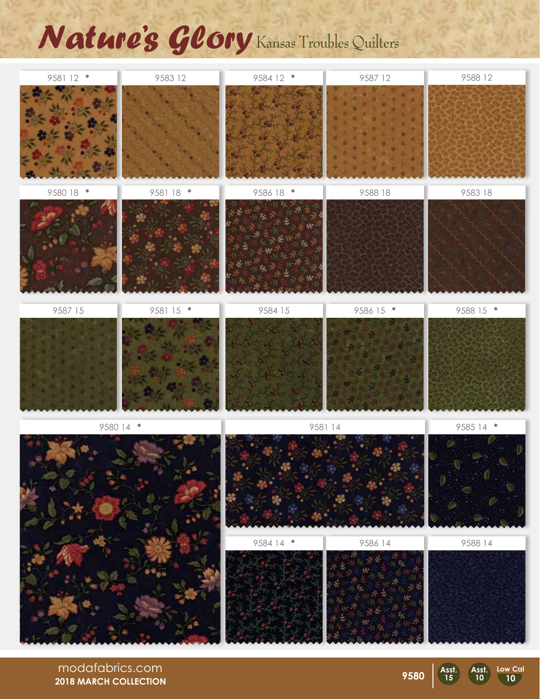## Nature's Glory Kansas Troubles Quilters



modafabrics.com **2018 MARCH COLLECTION**

Asst<br>15

**Asst. 10 Low Cal 10**